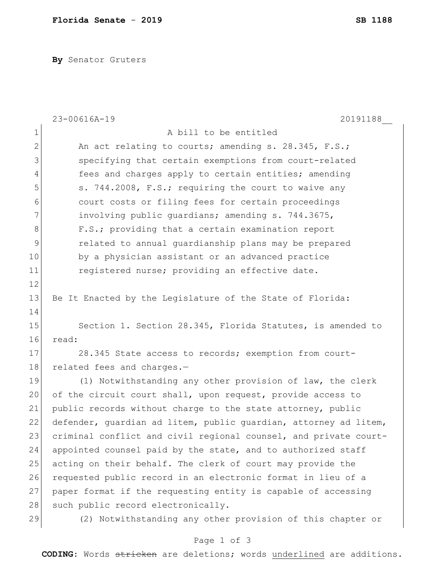**By** Senator Gruters

|                | 23-00616A-19<br>20191188                                         |
|----------------|------------------------------------------------------------------|
| $\mathbf 1$    | A bill to be entitled                                            |
| $\overline{2}$ | An act relating to courts; amending s. 28.345, F.S.;             |
| 3              | specifying that certain exemptions from court-related            |
| 4              | fees and charges apply to certain entities; amending             |
| 5              | s. 744.2008, F.S.; requiring the court to waive any              |
| 6              | court costs or filing fees for certain proceedings               |
| 7              | involving public guardians; amending s. 744.3675,                |
| 8              | F.S.; providing that a certain examination report                |
| $\mathsf 9$    | related to annual quardianship plans may be prepared             |
| 10             | by a physician assistant or an advanced practice                 |
| 11             | registered nurse; providing an effective date.                   |
| 12             |                                                                  |
| 13             | Be It Enacted by the Legislature of the State of Florida:        |
| 14             |                                                                  |
| 15             | Section 1. Section 28.345, Florida Statutes, is amended to       |
| 16             | read:                                                            |
| 17             | 28.345 State access to records; exemption from court-            |
| 18             | related fees and charges.-                                       |
| 19             | (1) Notwithstanding any other provision of law, the clerk        |
| 20             | of the circuit court shall, upon request, provide access to      |
| 21             | public records without charge to the state attorney, public      |
| 22             | defender, guardian ad litem, public guardian, attorney ad litem, |
| 23             | criminal conflict and civil regional counsel, and private court- |
| 24             | appointed counsel paid by the state, and to authorized staff     |
| 25             | acting on their behalf. The clerk of court may provide the       |
| 26             | requested public record in an electronic format in lieu of a     |
| 27             | paper format if the requesting entity is capable of accessing    |
| 28             | such public record electronically.                               |
| 29             | (2) Notwithstanding any other provision of this chapter or       |
|                | Page 1 of 3                                                      |

**CODING**: Words stricken are deletions; words underlined are additions.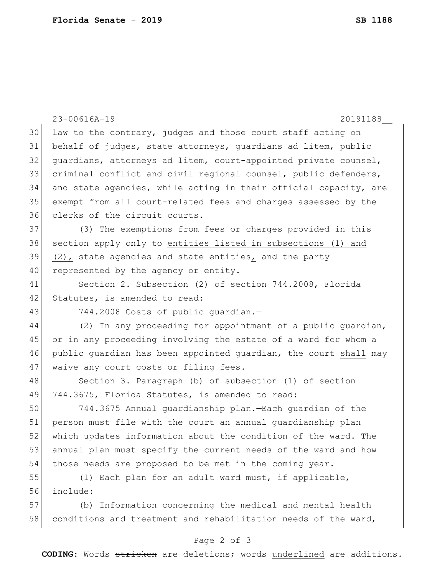|    | 23-00616A-19<br>20191188                                         |
|----|------------------------------------------------------------------|
| 30 | law to the contrary, judges and those court staff acting on      |
| 31 | behalf of judges, state attorneys, quardians ad litem, public    |
| 32 | guardians, attorneys ad litem, court-appointed private counsel,  |
| 33 | criminal conflict and civil regional counsel, public defenders,  |
| 34 | and state agencies, while acting in their official capacity, are |
| 35 | exempt from all court-related fees and charges assessed by the   |
| 36 | clerks of the circuit courts.                                    |
| 37 | (3) The exemptions from fees or charges provided in this         |
| 38 | section apply only to entities listed in subsections (1) and     |
| 39 | (2), state agencies and state entities, and the party            |
| 40 | represented by the agency or entity.                             |
| 41 | Section 2. Subsection (2) of section 744.2008, Florida           |
| 42 | Statutes, is amended to read:                                    |
| 43 | 744.2008 Costs of public quardian.-                              |
| 44 | (2) In any proceeding for appointment of a public quardian,      |
| 45 | or in any proceeding involving the estate of a ward for whom a   |
| 46 | public guardian has been appointed guardian, the court shall may |
| 47 | waive any court costs or filing fees.                            |
| 48 | Section 3. Paragraph (b) of subsection (1) of section            |
| 49 | 744.3675, Florida Statutes, is amended to read:                  |
| 50 | 744.3675 Annual quardianship plan. - Each quardian of the        |
| 51 | person must file with the court an annual quardianship plan      |
| 52 | which updates information about the condition of the ward. The   |
| 53 | annual plan must specify the current needs of the ward and how   |
| 54 | those needs are proposed to be met in the coming year.           |
| 55 | (1) Each plan for an adult ward must, if applicable,             |
| 56 | include:                                                         |
| 57 | (b) Information concerning the medical and mental health         |
| 58 | conditions and treatment and rehabilitation needs of the ward,   |
|    |                                                                  |

## Page 2 of 3

**CODING**: Words stricken are deletions; words underlined are additions.